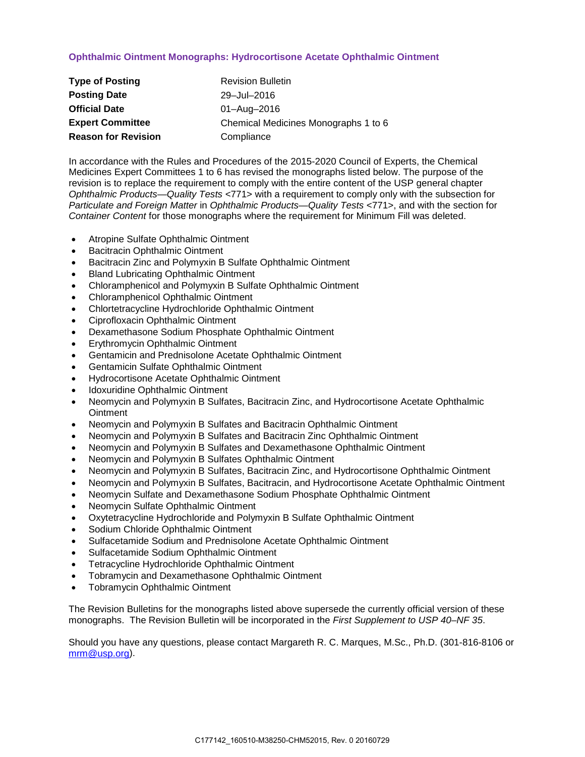## **Ophthalmic Ointment Monographs: Hydrocortisone Acetate Ophthalmic Ointment**

| <b>Type of Posting</b>     | <b>Revision Bulletin</b>             |
|----------------------------|--------------------------------------|
| <b>Posting Date</b>        | 29-Jul-2016                          |
| <b>Official Date</b>       | 01-Aug-2016                          |
| <b>Expert Committee</b>    | Chemical Medicines Monographs 1 to 6 |
| <b>Reason for Revision</b> | Compliance                           |

In accordance with the Rules and Procedures of the 2015-2020 Council of Experts, the Chemical Medicines Expert Committees 1 to 6 has revised the monographs listed below. The purpose of the revision is to replace the requirement to comply with the entire content of the USP general chapter *Ophthalmic Products—Quality Tests* <771> with a requirement to comply only with the subsection for *Particulate and Foreign Matter* in *Ophthalmic Products—Quality Tests* <771>, and with the section for *Container Content* for those monographs where the requirement for Minimum Fill was deleted.

- Atropine Sulfate Ophthalmic Ointment
- Bacitracin Ophthalmic Ointment
- Bacitracin Zinc and Polymyxin B Sulfate Ophthalmic Ointment
- Bland Lubricating Ophthalmic Ointment
- Chloramphenicol and Polymyxin B Sulfate Ophthalmic Ointment
- Chloramphenicol Ophthalmic Ointment
- Chlortetracycline Hydrochloride Ophthalmic Ointment
- Ciprofloxacin Ophthalmic Ointment
- Dexamethasone Sodium Phosphate Ophthalmic Ointment
- Erythromycin Ophthalmic Ointment
- Gentamicin and Prednisolone Acetate Ophthalmic Ointment
- Gentamicin Sulfate Ophthalmic Ointment
- Hydrocortisone Acetate Ophthalmic Ointment
- Idoxuridine Ophthalmic Ointment
- Neomycin and Polymyxin B Sulfates, Bacitracin Zinc, and Hydrocortisone Acetate Ophthalmic **Ointment**
- Neomycin and Polymyxin B Sulfates and Bacitracin Ophthalmic Ointment
- Neomycin and Polymyxin B Sulfates and Bacitracin Zinc Ophthalmic Ointment
- Neomycin and Polymyxin B Sulfates and Dexamethasone Ophthalmic Ointment
- Neomycin and Polymyxin B Sulfates Ophthalmic Ointment
- Neomycin and Polymyxin B Sulfates, Bacitracin Zinc, and Hydrocortisone Ophthalmic Ointment
- Neomycin and Polymyxin B Sulfates, Bacitracin, and Hydrocortisone Acetate Ophthalmic Ointment
- Neomycin Sulfate and Dexamethasone Sodium Phosphate Ophthalmic Ointment
- Neomycin Sulfate Ophthalmic Ointment
- Oxytetracycline Hydrochloride and Polymyxin B Sulfate Ophthalmic Ointment
- Sodium Chloride Ophthalmic Ointment
- Sulfacetamide Sodium and Prednisolone Acetate Ophthalmic Ointment
- Sulfacetamide Sodium Ophthalmic Ointment
- Tetracycline Hydrochloride Ophthalmic Ointment
- Tobramycin and Dexamethasone Ophthalmic Ointment
- Tobramycin Ophthalmic Ointment

The Revision Bulletins for the monographs listed above supersede the currently official version of these monographs. The Revision Bulletin will be incorporated in the *First Supplement to USP 40–NF 35*.

Should you have any questions, please contact Margareth R. C. Marques, M.Sc., Ph.D. (301-816-8106 or [mrm@usp.org\)](mailto:mrm@usp.org).